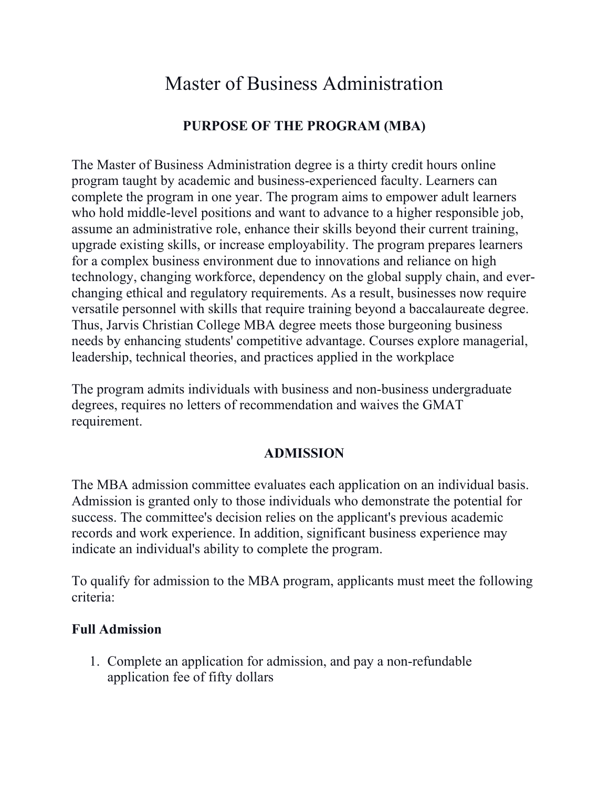# Master of Business Administration

# **PURPOSE OF THE PROGRAM (MBA)**

The Master of Business Administration degree is a thirty credit hours online program taught by academic and business-experienced faculty. Learners can complete the program in one year. The program aims to empower adult learners who hold middle-level positions and want to advance to a higher responsible job, assume an administrative role, enhance their skills beyond their current training, upgrade existing skills, or increase employability. The program prepares learners for a complex business environment due to innovations and reliance on high technology, changing workforce, dependency on the global supply chain, and everchanging ethical and regulatory requirements. As a result, businesses now require versatile personnel with skills that require training beyond a baccalaureate degree. Thus, Jarvis Christian College MBA degree meets those burgeoning business needs by enhancing students' competitive advantage. Courses explore managerial, leadership, technical theories, and practices applied in the workplace

The program admits individuals with business and non-business undergraduate degrees, requires no letters of recommendation and waives the GMAT requirement.

## **ADMISSION**

The MBA admission committee evaluates each application on an individual basis. Admission is granted only to those individuals who demonstrate the potential for success. The committee's decision relies on the applicant's previous academic records and work experience. In addition, significant business experience may indicate an individual's ability to complete the program.

To qualify for admission to the MBA program, applicants must meet the following criteria:

#### **Full Admission**

1. Complete an application for admission, and pay a non-refundable application fee of fifty dollars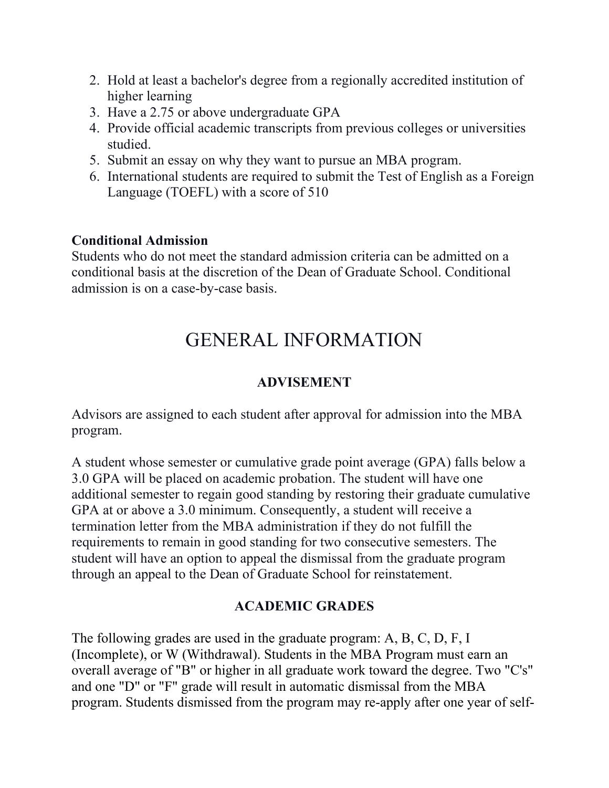- 2. Hold at least a bachelor's degree from a regionally accredited institution of higher learning
- 3. Have a 2.75 or above undergraduate GPA
- 4. Provide official academic transcripts from previous colleges or universities studied.
- 5. Submit an essay on why they want to pursue an MBA program.
- 6. International students are required to submit the Test of English as a Foreign Language (TOEFL) with a score of 510

## **Conditional Admission**

Students who do not meet the standard admission criteria can be admitted on a conditional basis at the discretion of the Dean of Graduate School. Conditional admission is on a case-by-case basis.

# GENERAL INFORMATION

# **ADVISEMENT**

Advisors are assigned to each student after approval for admission into the MBA program.

A student whose semester or cumulative grade point average (GPA) falls below a 3.0 GPA will be placed on academic probation. The student will have one additional semester to regain good standing by restoring their graduate cumulative GPA at or above a 3.0 minimum. Consequently, a student will receive a termination letter from the MBA administration if they do not fulfill the requirements to remain in good standing for two consecutive semesters. The student will have an option to appeal the dismissal from the graduate program through an appeal to the Dean of Graduate School for reinstatement.

## **ACADEMIC GRADES**

The following grades are used in the graduate program: A, B, C, D, F, I (Incomplete), or W (Withdrawal). Students in the MBA Program must earn an overall average of "B" or higher in all graduate work toward the degree. Two "C's" and one "D" or "F" grade will result in automatic dismissal from the MBA program. Students dismissed from the program may re-apply after one year of self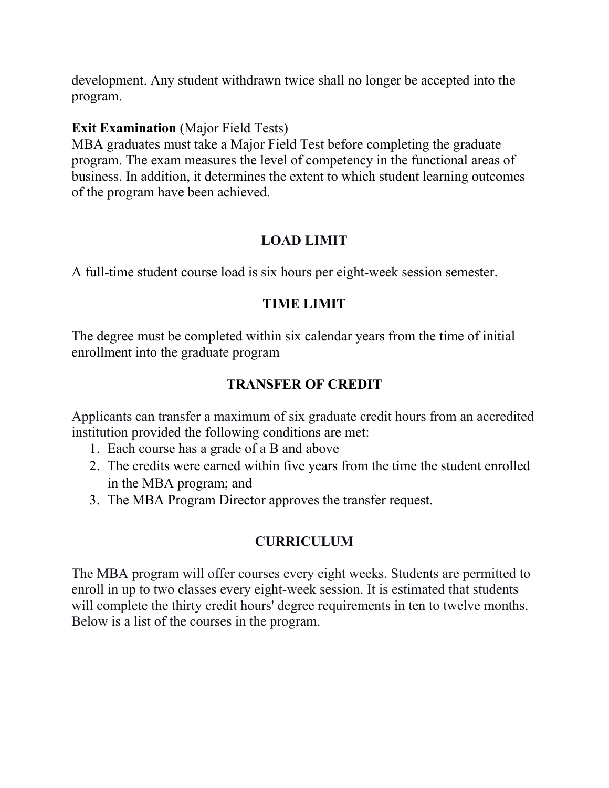development. Any student withdrawn twice shall no longer be accepted into the program.

#### **Exit Examination** (Major Field Tests)

MBA graduates must take a Major Field Test before completing the graduate program. The exam measures the level of competency in the functional areas of business. In addition, it determines the extent to which student learning outcomes of the program have been achieved.

# **LOAD LIMIT**

A full-time student course load is six hours per eight-week session semester.

## **TIME LIMIT**

The degree must be completed within six calendar years from the time of initial enrollment into the graduate program

# **TRANSFER OF CREDIT**

Applicants can transfer a maximum of six graduate credit hours from an accredited institution provided the following conditions are met:

- 1. Each course has a grade of a B and above
- 2. The credits were earned within five years from the time the student enrolled in the MBA program; and
- 3. The MBA Program Director approves the transfer request.

# **CURRICULUM**

The MBA program will offer courses every eight weeks. Students are permitted to enroll in up to two classes every eight-week session. It is estimated that students will complete the thirty credit hours' degree requirements in ten to twelve months. Below is a list of the courses in the program.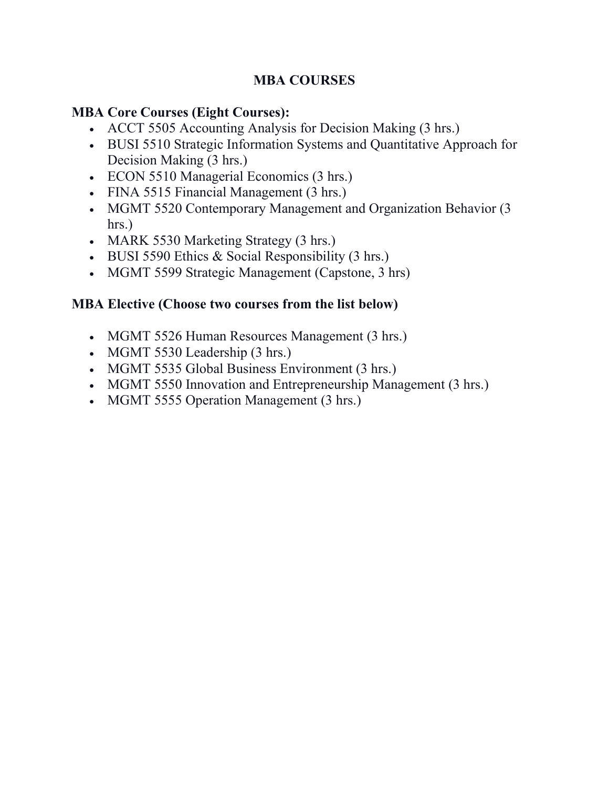# **MBA COURSES**

## **MBA Core Courses (Eight Courses):**

- ACCT 5505 Accounting Analysis for Decision Making (3 hrs.)
- BUSI 5510 Strategic Information Systems and Quantitative Approach for Decision Making (3 hrs.)
- ECON 5510 Managerial Economics (3 hrs.)
- FINA 5515 Financial Management (3 hrs.)
- MGMT 5520 Contemporary Management and Organization Behavior (3 hrs.)
- MARK 5530 Marketing Strategy (3 hrs.)
- BUSI 5590 Ethics & Social Responsibility (3 hrs.)
- MGMT 5599 Strategic Management (Capstone, 3 hrs)

#### **MBA Elective (Choose two courses from the list below)**

- MGMT 5526 Human Resources Management (3 hrs.)
- MGMT 5530 Leadership (3 hrs.)
- MGMT 5535 Global Business Environment (3 hrs.)
- MGMT 5550 Innovation and Entrepreneurship Management (3 hrs.)
- MGMT 5555 Operation Management (3 hrs.)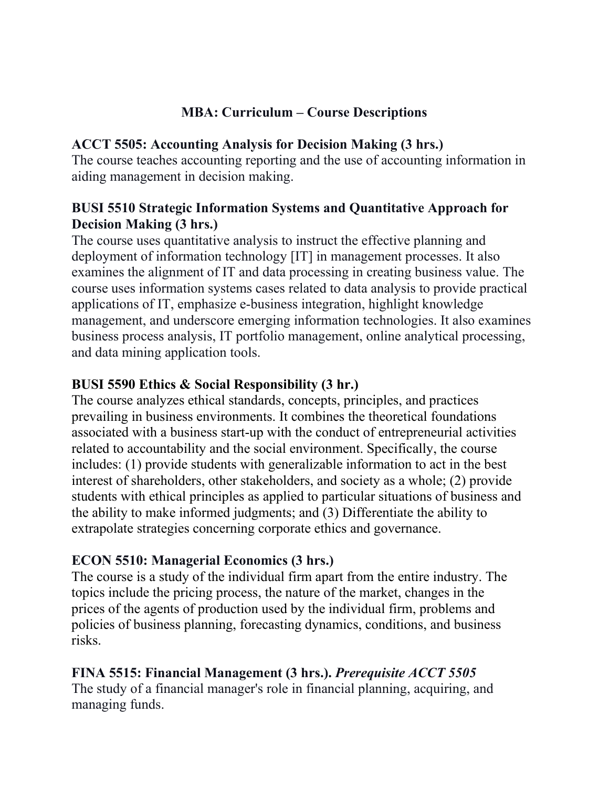## **MBA: Curriculum – Course Descriptions**

## **ACCT 5505: Accounting Analysis for Decision Making (3 hrs.)**

The course teaches accounting reporting and the use of accounting information in aiding management in decision making.

## **BUSI 5510 Strategic Information Systems and Quantitative Approach for Decision Making (3 hrs.)**

The course uses quantitative analysis to instruct the effective planning and deployment of information technology [IT] in management processes. It also examines the alignment of IT and data processing in creating business value. The course uses information systems cases related to data analysis to provide practical applications of IT, emphasize e-business integration, highlight knowledge management, and underscore emerging information technologies. It also examines business process analysis, IT portfolio management, online analytical processing, and data mining application tools.

# **BUSI 5590 Ethics & Social Responsibility (3 hr.)**

The course analyzes ethical standards, concepts, principles, and practices prevailing in business environments. It combines the theoretical foundations associated with a business start-up with the conduct of entrepreneurial activities related to accountability and the social environment. Specifically, the course includes: (1) provide students with generalizable information to act in the best interest of shareholders, other stakeholders, and society as a whole; (2) provide students with ethical principles as applied to particular situations of business and the ability to make informed judgments; and (3) Differentiate the ability to extrapolate strategies concerning corporate ethics and governance.

# **ECON 5510: Managerial Economics (3 hrs.)**

The course is a study of the individual firm apart from the entire industry. The topics include the pricing process, the nature of the market, changes in the prices of the agents of production used by the individual firm, problems and policies of business planning, forecasting dynamics, conditions, and business risks.

# **FINA 5515: Financial Management (3 hrs.).** *Prerequisite ACCT 5505*

The study of a financial manager's role in financial planning, acquiring, and managing funds.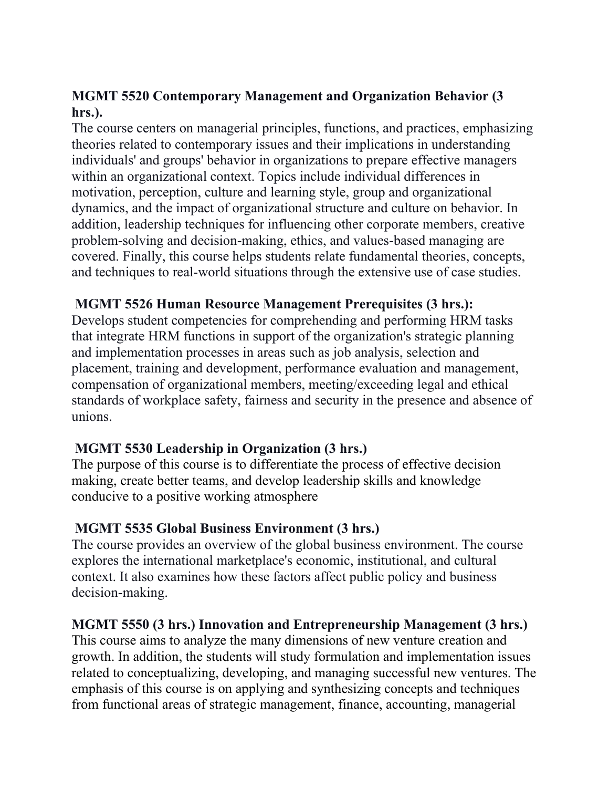# **MGMT 5520 Contemporary Management and Organization Behavior (3 hrs.).**

The course centers on managerial principles, functions, and practices, emphasizing theories related to contemporary issues and their implications in understanding individuals' and groups' behavior in organizations to prepare effective managers within an organizational context. Topics include individual differences in motivation, perception, culture and learning style, group and organizational dynamics, and the impact of organizational structure and culture on behavior. In addition, leadership techniques for influencing other corporate members, creative problem-solving and decision-making, ethics, and values-based managing are covered. Finally, this course helps students relate fundamental theories, concepts, and techniques to real-world situations through the extensive use of case studies.

# **MGMT 5526 Human Resource Management Prerequisites (3 hrs.):**

Develops student competencies for comprehending and performing HRM tasks that integrate HRM functions in support of the organization's strategic planning and implementation processes in areas such as job analysis, selection and placement, training and development, performance evaluation and management, compensation of organizational members, meeting/exceeding legal and ethical standards of workplace safety, fairness and security in the presence and absence of unions.

## **MGMT 5530 Leadership in Organization (3 hrs.)**

The purpose of this course is to differentiate the process of effective decision making, create better teams, and develop leadership skills and knowledge conducive to a positive working atmosphere

## **MGMT 5535 Global Business Environment (3 hrs.)**

The course provides an overview of the global business environment. The course explores the international marketplace's economic, institutional, and cultural context. It also examines how these factors affect public policy and business decision-making.

## **MGMT 5550 (3 hrs.) Innovation and Entrepreneurship Management (3 hrs.)**

This course aims to analyze the many dimensions of new venture creation and growth. In addition, the students will study formulation and implementation issues related to conceptualizing, developing, and managing successful new ventures. The emphasis of this course is on applying and synthesizing concepts and techniques from functional areas of strategic management, finance, accounting, managerial